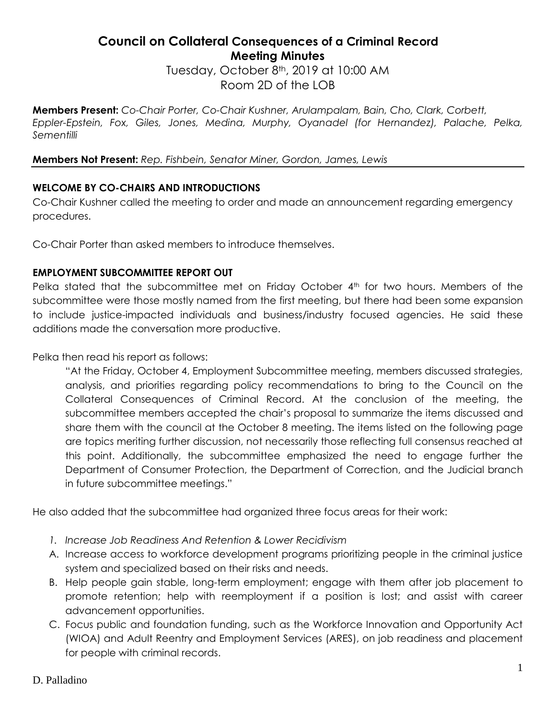## **Council on Collateral Consequences of a Criminal Record Meeting Minutes**

Tuesday, October 8<sup>th</sup>, 2019 at 10:00 AM Room 2D of the LOB

**Members Present:** *Co-Chair Porter, Co-Chair Kushner, Arulampalam, Bain, Cho, Clark, Corbett, Eppler-Epstein, Fox, Giles, Jones, Medina, Murphy, Oyanadel (for Hernandez), Palache, Pelka, Sementilli*

**Members Not Present:** *Rep. Fishbein, Senator Miner, Gordon, James, Lewis* 

### **WELCOME BY CO-CHAIRS AND INTRODUCTIONS**

Co-Chair Kushner called the meeting to order and made an announcement regarding emergency procedures.

Co-Chair Porter than asked members to introduce themselves.

#### **EMPLOYMENT SUBCOMMITTEE REPORT OUT**

Pelka stated that the subcommittee met on Friday October 4<sup>th</sup> for two hours. Members of the subcommittee were those mostly named from the first meeting, but there had been some expansion to include justice-impacted individuals and business/industry focused agencies. He said these additions made the conversation more productive.

Pelka then read his report as follows:

"At the Friday, October 4, Employment Subcommittee meeting, members discussed strategies, analysis, and priorities regarding policy recommendations to bring to the Council on the Collateral Consequences of Criminal Record. At the conclusion of the meeting, the subcommittee members accepted the chair's proposal to summarize the items discussed and share them with the council at the October 8 meeting. The items listed on the following page are topics meriting further discussion, not necessarily those reflecting full consensus reached at this point. Additionally, the subcommittee emphasized the need to engage further the Department of Consumer Protection, the Department of Correction, and the Judicial branch in future subcommittee meetings."

He also added that the subcommittee had organized three focus areas for their work:

- *1. Increase Job Readiness And Retention & Lower Recidivism*
- A. Increase access to workforce development programs prioritizing people in the criminal justice system and specialized based on their risks and needs.
- B. Help people gain stable, long-term employment; engage with them after job placement to promote retention; help with reemployment if a position is lost; and assist with career advancement opportunities.
- C. Focus public and foundation funding, such as the Workforce Innovation and Opportunity Act (WIOA) and Adult Reentry and Employment Services (ARES), on job readiness and placement for people with criminal records.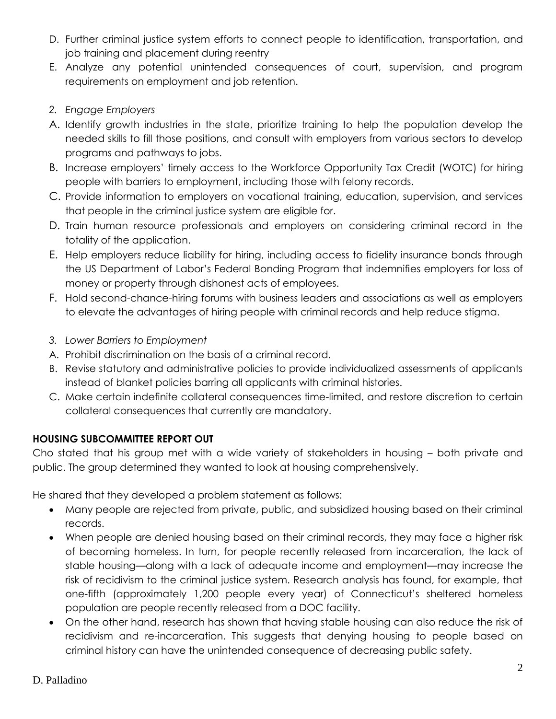- D. Further criminal justice system efforts to connect people to identification, transportation, and job training and placement during reentry
- E. Analyze any potential unintended consequences of court, supervision, and program requirements on employment and job retention.
- *2. Engage Employers*
- A. Identify growth industries in the state, prioritize training to help the population develop the needed skills to fill those positions, and consult with employers from various sectors to develop programs and pathways to jobs.
- B. Increase employers' timely access to the Workforce Opportunity Tax Credit (WOTC) for hiring people with barriers to employment, including those with felony records.
- C. Provide information to employers on vocational training, education, supervision, and services that people in the criminal justice system are eligible for.
- D. Train human resource professionals and employers on considering criminal record in the totality of the application.
- E. Help employers reduce liability for hiring, including access to fidelity insurance bonds through the US Department of Labor's Federal Bonding Program that indemnifies employers for loss of money or property through dishonest acts of employees.
- F. Hold second-chance-hiring forums with business leaders and associations as well as employers to elevate the advantages of hiring people with criminal records and help reduce stigma.
- *3. Lower Barriers to Employment*
- A. Prohibit discrimination on the basis of a criminal record.
- B. Revise statutory and administrative policies to provide individualized assessments of applicants instead of blanket policies barring all applicants with criminal histories.
- C. Make certain indefinite collateral consequences time-limited, and restore discretion to certain collateral consequences that currently are mandatory.

### **HOUSING SUBCOMMITTEE REPORT OUT**

Cho stated that his group met with a wide variety of stakeholders in housing – both private and public. The group determined they wanted to look at housing comprehensively.

He shared that they developed a problem statement as follows:

- Many people are rejected from private, public, and subsidized housing based on their criminal records.
- When people are denied housing based on their criminal records, they may face a higher risk of becoming homeless. In turn, for people recently released from incarceration, the lack of stable housing—along with a lack of adequate income and employment—may increase the risk of recidivism to the criminal justice system. Research analysis has found, for example, that one-fifth (approximately 1,200 people every year) of Connecticut's sheltered homeless population are people recently released from a DOC facility.
- On the other hand, research has shown that having stable housing can also reduce the risk of recidivism and re-incarceration. This suggests that denying housing to people based on criminal history can have the unintended consequence of decreasing public safety.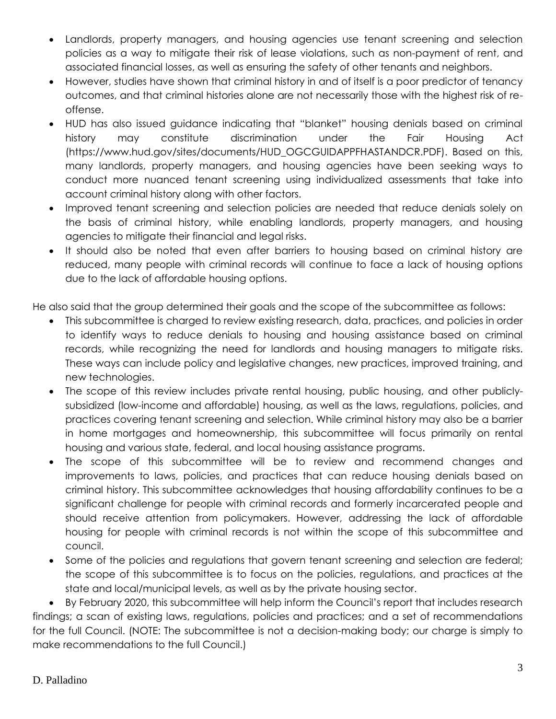- Landlords, property managers, and housing agencies use tenant screening and selection policies as a way to mitigate their risk of lease violations, such as non-payment of rent, and associated financial losses, as well as ensuring the safety of other tenants and neighbors.
- However, studies have shown that criminal history in and of itself is a poor predictor of tenancy outcomes, and that criminal histories alone are not necessarily those with the highest risk of reoffense.
- HUD has also issued guidance indicating that "blanket" housing denials based on criminal history may constitute discrimination under the Fair Housing Act (https://www.hud.gov/sites/documents/HUD\_OGCGUIDAPPFHASTANDCR.PDF). Based on this, many landlords, property managers, and housing agencies have been seeking ways to conduct more nuanced tenant screening using individualized assessments that take into account criminal history along with other factors.
- Improved tenant screening and selection policies are needed that reduce denials solely on the basis of criminal history, while enabling landlords, property managers, and housing agencies to mitigate their financial and legal risks.
- It should also be noted that even after barriers to housing based on criminal history are reduced, many people with criminal records will continue to face a lack of housing options due to the lack of affordable housing options.

He also said that the group determined their goals and the scope of the subcommittee as follows:

- This subcommittee is charged to review existing research, data, practices, and policies in order to identify ways to reduce denials to housing and housing assistance based on criminal records, while recognizing the need for landlords and housing managers to mitigate risks. These ways can include policy and legislative changes, new practices, improved training, and new technologies.
- The scope of this review includes private rental housing, public housing, and other publiclysubsidized (low-income and affordable) housing, as well as the laws, regulations, policies, and practices covering tenant screening and selection. While criminal history may also be a barrier in home mortgages and homeownership, this subcommittee will focus primarily on rental housing and various state, federal, and local housing assistance programs.
- The scope of this subcommittee will be to review and recommend changes and improvements to laws, policies, and practices that can reduce housing denials based on criminal history. This subcommittee acknowledges that housing affordability continues to be a significant challenge for people with criminal records and formerly incarcerated people and should receive attention from policymakers. However, addressing the lack of affordable housing for people with criminal records is not within the scope of this subcommittee and council.
- Some of the policies and regulations that govern tenant screening and selection are federal; the scope of this subcommittee is to focus on the policies, regulations, and practices at the state and local/municipal levels, as well as by the private housing sector.

 By February 2020, this subcommittee will help inform the Council's report that includes research findings; a scan of existing laws, regulations, policies and practices; and a set of recommendations for the full Council. (NOTE: The subcommittee is not a decision-making body; our charge is simply to make recommendations to the full Council.)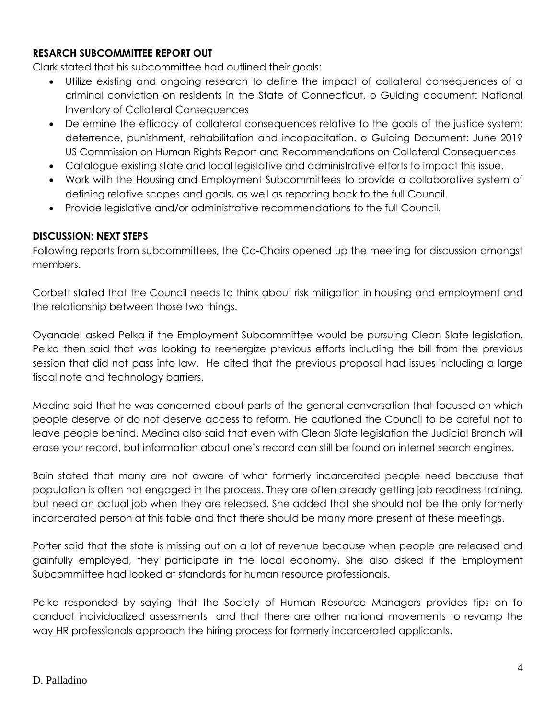#### **RESARCH SUBCOMMITTEE REPORT OUT**

Clark stated that his subcommittee had outlined their goals:

- Utilize existing and ongoing research to define the impact of collateral consequences of a criminal conviction on residents in the State of Connecticut. o Guiding document: National Inventory of Collateral Consequences
- Determine the efficacy of collateral consequences relative to the goals of the justice system: deterrence, punishment, rehabilitation and incapacitation. o Guiding Document: June 2019 US Commission on Human Rights Report and Recommendations on Collateral Consequences
- Catalogue existing state and local legislative and administrative efforts to impact this issue.
- Work with the Housing and Employment Subcommittees to provide a collaborative system of defining relative scopes and goals, as well as reporting back to the full Council.
- Provide legislative and/or administrative recommendations to the full Council.

# **DISCUSSION: NEXT STEPS**

Following reports from subcommittees, the Co-Chairs opened up the meeting for discussion amongst members.

Corbett stated that the Council needs to think about risk mitigation in housing and employment and the relationship between those two things.

Oyanadel asked Pelka if the Employment Subcommittee would be pursuing Clean Slate legislation. Pelka then said that was looking to reenergize previous efforts including the bill from the previous session that did not pass into law. He cited that the previous proposal had issues including a large fiscal note and technology barriers.

Medina said that he was concerned about parts of the general conversation that focused on which people deserve or do not deserve access to reform. He cautioned the Council to be careful not to leave people behind. Medina also said that even with Clean Slate legislation the Judicial Branch will erase your record, but information about one's record can still be found on internet search engines.

Bain stated that many are not aware of what formerly incarcerated people need because that population is often not engaged in the process. They are often already getting job readiness training, but need an actual job when they are released. She added that she should not be the only formerly incarcerated person at this table and that there should be many more present at these meetings.

Porter said that the state is missing out on a lot of revenue because when people are released and gainfully employed, they participate in the local economy. She also asked if the Employment Subcommittee had looked at standards for human resource professionals.

Pelka responded by saying that the Society of Human Resource Managers provides tips on to conduct individualized assessments and that there are other national movements to revamp the way HR professionals approach the hiring process for formerly incarcerated applicants.